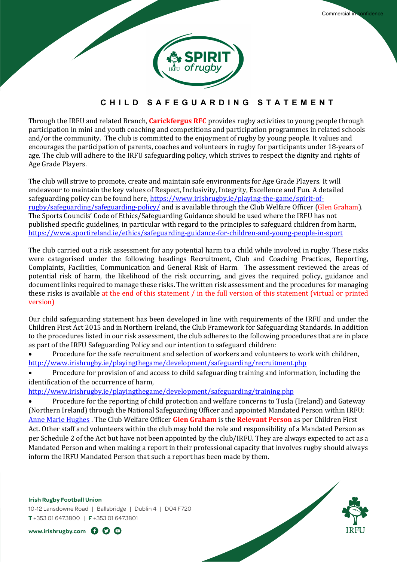

# **CHILD SAFEGUARDING STATEMENT**

Through the IRFU and related Branch, **Carickfergus RFC** provides rugby activities to young people through participation in mini and youth coaching and competitions and participation programmes in related schools and/or the community. The club is committed to the enjoyment of rugby by young people. It values and encourages the participation of parents, coaches and volunteers in rugby for participants under 18-years of age. The club will adhere to the IRFU safeguarding policy, which strives to respect the dignity and rights of Age Grade Players.

The club will strive to promote, create and maintain safe environments for Age Grade Players. It will endeavour to maintain the key values of Respect, Inclusivity, Integrity, Excellence and Fun. A detailed safeguarding policy can be found here, https://www.irishrugby.ie/playing-the-game/spirit-ofrugby/safeguarding/safeguarding-policy/ and is available through the Club Welfare Officer (Glen Graham). The Sports Councils' Code of Ethics/Safeguarding Guidance should be used where the IRFU has not published specific guidelines, in particular with regard to the principles to safeguard children from harm, https://www.sportireland.ie/ethics/safeguarding-guidance-for-children-and-young-people-in-sport

The club carried out a risk assessment for any potential harm to a child while involved in rugby. These risks were categorised under the following headings Recruitment, Club and Coaching Practices, Reporting, Complaints, Facilities, Communication and General Risk of Harm. The assessment reviewed the areas of potential risk of harm, the likelihood of the risk occurring, and gives the required policy, guidance and document links required to manage these risks. The written risk assessment and the procedures for managing these risks is available at the end of this statement / in the full version of this statement (virtual or printed version)

Our child safeguarding statement has been developed in line with requirements of the IRFU and under the Children First Act 2015 and in Northern Ireland, the Club Framework for Safeguarding Standards. In addition to the procedures listed in our risk assessment, the club adheres to the following procedures that are in place as part of the IRFU Safeguarding Policy and our intention to safeguard children:

• Procedure for the safe recruitment and selection of workers and volunteers to work with children, http://www.irishrugby.ie/playingthegame/development/safeguarding/recruitment.php

• Procedure for provision of and access to child safeguarding training and information, including the identification of the occurrence of harm,

http://www.irishrugby.ie/playingthegame/development/safeguarding/training.php

• Procedure for the reporting of child protection and welfare concerns to Tusla (Ireland) and Gateway (Northern Ireland) through the National Safeguarding Officer and appointed Mandated Person within IRFU: Anne Marie Hughes . The Club Welfare Officer **Glen Graham** is the **Relevant Person** as per Children First Act. Other staff and volunteers within the club may hold the role and responsibility of a Mandated Person as per Schedule 2 of the Act but have not been appointed by the club/IRFU. They are always expected to act as a Mandated Person and when making a report in their professional capacity that involves rugby should always inform the IRFU Mandated Person that such a report has been made by them.

#### **Irish Rugby Football Union**

10-12 Lansdowne Road | Ballsbridge | Dublin 4 | D04 F720 **T** +353 01 6473800 | **F** +353 01 6473801

**www.irishrugby.com** 

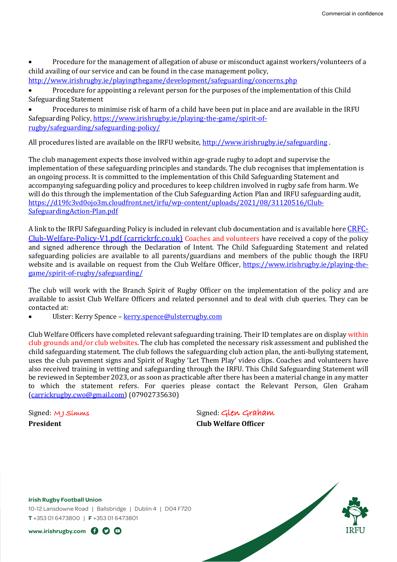Procedure for the management of allegation of abuse or misconduct against workers/volunteers of a child availing of our service and can be found in the case management policy,

http://www.irishrugby.ie/playingthegame/development/safeguarding/concerns.php

Procedure for appointing a relevant person for the purposes of the implementation of this Child Safeguarding Statement

Procedures to minimise risk of harm of a child have been put in place and are available in the IRFU Safeguarding Policy, https://www.irishrugby.ie/playing-the-game/spirit-ofrugby/safeguarding/safeguarding-policy/

All procedures listed are available on the IRFU website, http://www.irishrugby.ie/safeguarding.

The club management expects those involved within age-grade rugby to adopt and supervise the implementation of these safeguarding principles and standards. The club recognises that implementation is an ongoing process. It is committed to the implementation of this Child Safeguarding Statement and accompanying safeguarding policy and procedures to keep children involved in rugby safe from harm. We will do this through the implementation of the Club Safeguarding Action Plan and IRFU safeguarding audit, https://d19fc3vd0ojo3m.cloudfront.net/irfu/wp-content/uploads/2021/08/31120516/Club-SafeguardingAction-Plan.pdf

A link to the IRFU Safeguarding Policy is included in relevant club documentation and is available here CRFC- $Club-Welfare-Policy-V1.pdf$  (carrickrfc.co.uk) Coaches and volunteers have received a copy of the policy and signed adherence through the Declaration of Intent. The Child Safeguarding Statement and related safeguarding policies are available to all parents/guardians and members of the public though the IRFU website and is available on request from the Club Welfare Officer, https://www.irishrugby.ie/playing-thegame/spirit-of-rugby/safeguarding/

The club will work with the Branch Spirit of Rugby Officer on the implementation of the policy and are available to assist Club Welfare Officers and related personnel and to deal with club queries. They can be contacted at:

Ulster: Kerry Spence - kerry.spence@ulsterrugby.com

Club Welfare Officers have completed relevant safeguarding training. Their ID templates are on display within club grounds and/or club websites. The club has completed the necessary risk assessment and published the child safeguarding statement. The club follows the safeguarding club action plan, the anti-bullying statement, uses the club pavement signs and Spirit of Rugby 'Let Them Play' video clips. Coaches and volunteers have also received training in vetting and safeguarding through the IRFU. This Child Safeguarding Statement will be reviewed in September 2023, or as soon as practicable after there has been a material change in any matter to which the statement refers. For queries please contact the Relevant Person, Glen Graham (carrickrugby.cwo@gmail.com) (07902735630) 

Signed: M J Simms Signed: Glen Graham **President Club** Welfare Officer

**Irish Rugby Football Union**

10-12 Lansdowne Road | Ballsbridge | Dublin 4 | D04 F720 **T** +353 01 6473800 | **F** +353 01 6473801

**www.irishrugby.com** 

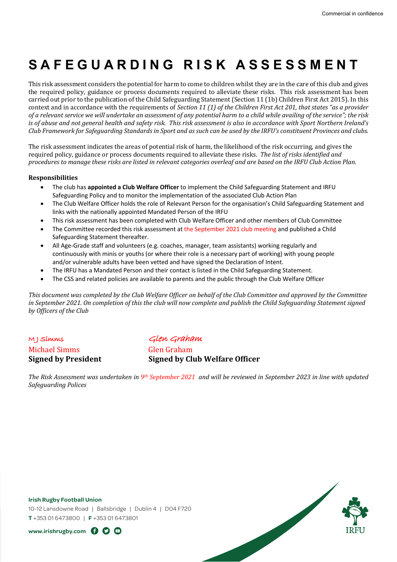# **SAFEGUARDING RISK ASSESSMENT**

This risk assessment considers the potential for harm to come to children whilst they are in the care of this club and gives the required policy, guidance or process documents required to alleviate these risks. This risk assessment has been carried out prior to the publication of the Child Safeguarding Statement (Section 11 (1b) Children First Act 2015). In this context and in accordance with the requirements of *Section* 11 (1) of the Children First Act 201, that states "as a provider of a relevant service we will undertake an assessment of any potential harm to a child while availing of the service"; the risk *is* of abuse and not general health and safety risk. This risk assessment is also in accordance with Sport Northern Ireland's *Club* Framework for Safeguarding Standards in Sport and as such can be used by the IRFU's constituent Provinces and clubs.

The risk assessment indicates the areas of potential risk of harm, the likelihood of the risk occurring, and gives the required policy, guidance or process documents required to alleviate these risks. *The list of risks identified and procedures to manage these risks are listed in relevant categories overleaf and are based on the IRFU Club Action Plan.* 

#### **Responsibilities**

- The club has **appointed a Club Welfare Officer** to implement the Child Safeguarding Statement and IRFU Safeguarding Policy and to monitor the implementation of the associated Club Action Plan
- The Club Welfare Officer holds the role of Relevant Person for the organisation's Child Safeguarding Statement and links with the nationally appointed Mandated Person of the IRFU
- This risk assessment has been completed with Club Welfare Officer and other members of Club Committee
- The Committee recorded this risk assessment at the September 2021 club meeting and published a Child Safeguarding Statement thereafter.
- All Age-Grade staff and volunteers (e.g. coaches, manager, team assistants) working regularly and continuously with minis or youths (or where their role is a necessary part of working) with young people and/or vulnerable adults have been vetted and have signed the Declaration of Intent.
- The IRFU has a Mandated Person and their contact is listed in the Child Safeguarding Statement.
- The CSS and related policies are available to parents and the public through the Club Welfare Officer

*This document was completed by the Club Welfare Officer on behalf of the Club Committee and approved by the Committee* in September 2021. On completion of this the club will now complete and publish the Child Safeguarding Statement signed by Officers of the Club

M J Simms Glen Graham Michael Simms Glen Graham

**Signed by President Signed by Club Welfare Officer** 

*The Risk Assessment was undertaken in 9<sup>th</sup> September 2021 and will be reviewed in September 2023 in line with updated Safeguarding Polices*

#### **Irish Rugby Football Union**

10-12 Lansdowne Road | Ballsbridge | Dublin 4 | D04 F720 **T** +353 01 6473800 | **F** +353 01 6473801



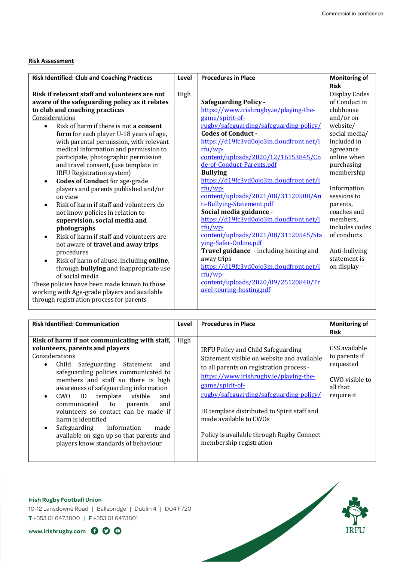# **Risk Assessment**

| <b>Risk Identified: Club and Coaching Practices</b>   | Level | <b>Procedures in Place</b>              | <b>Monitoring of</b> |
|-------------------------------------------------------|-------|-----------------------------------------|----------------------|
|                                                       |       |                                         | <b>Risk</b>          |
| Risk if relevant staff and volunteers are not         | High  |                                         | Display Codes        |
| aware of the safeguarding policy as it relates        |       | <b>Safeguarding Policy -</b>            | of Conduct in        |
| to club and coaching practices                        |       | https://www.irishrugby.ie/playing-the-  | clubhouse            |
| Considerations                                        |       | game/spirit-of-                         | and/or on            |
| Risk of harm if there is not a consent<br>$\bullet$   |       | rugby/safeguarding/safeguarding-policy/ | website/             |
| form for each player U-18 years of age,               |       | <b>Codes of Conduct -</b>               | social media/        |
| with parental permission, with relevant               |       | https://d19fc3vd0ojo3m.cloudfront.net/i | included in          |
| medical information and permission to                 |       | rfu/wp-                                 | agreeance            |
| participate, photographic permission                  |       | content/uploads/2020/12/16153845/Co     | online when          |
| and travel consent, (use template in                  |       | de-of-Conduct-Parents.pdf               | purchasing           |
| IRFU Registration system)                             |       | <b>Bullying</b>                         | membership           |
| <b>Codes of Conduct</b> for age-grade<br>$\bullet$    |       | https://d19fc3vd0ojo3m.cloudfront.net/i |                      |
| players and parents published and/or                  |       | rfu/wp-                                 | Information          |
| on view                                               |       | content/uploads/2021/08/31120508/An     | sessions to          |
| Risk of harm if staff and volunteers do<br>$\bullet$  |       | ti-Bullying-Statement.pdf               | parents,             |
| not know policies in relation to                      |       | Social media guidance -                 | coaches and          |
| supervision, social media and                         |       | https://d19fc3vd0ojo3m.cloudfront.net/i | members,             |
| photographs                                           |       | $rfu/wp$ -                              | includes codes       |
| Risk of harm if staff and volunteers are<br>$\bullet$ |       | content/uploads/2021/08/31120545/Sta    | of conducts          |
| not aware of travel and away trips                    |       | ying-Safer-Online.pdf                   |                      |
| procedures                                            |       | Travel guidance - including hosting and | Anti-bullying        |
| Risk of harm of abuse, including online,<br>$\bullet$ |       | away trips                              | statement is         |
| through <b>bullying</b> and inappropriate use         |       | https://d19fc3vd0ojo3m.cloudfront.net/i | on display -         |
| of social media                                       |       | rfu/wp-                                 |                      |
| These policies have been made known to those          |       | content/uploads/2020/09/25120840/Tr     |                      |
| working with Age-grade players and available          |       | avel-touring-hosting.pdf                |                      |
| through registration process for parents              |       |                                         |                      |

| <b>Risk Identified: Communication</b>                                                                                                                                                                                                                                                                                                                                                                                                                                                                                                                                         | Level | <b>Procedures in Place</b>                                                                                                                                                                                                                                                                                                                                                            | <b>Monitoring of</b><br><b>Risk</b>                                                     |
|-------------------------------------------------------------------------------------------------------------------------------------------------------------------------------------------------------------------------------------------------------------------------------------------------------------------------------------------------------------------------------------------------------------------------------------------------------------------------------------------------------------------------------------------------------------------------------|-------|---------------------------------------------------------------------------------------------------------------------------------------------------------------------------------------------------------------------------------------------------------------------------------------------------------------------------------------------------------------------------------------|-----------------------------------------------------------------------------------------|
| Risk of harm if not communicating with staff,<br>volunteers, parents and players<br>Considerations<br>Child Safeguarding Statement and<br>$\bullet$<br>safeguarding policies communicated to<br>members and staff so there is high<br>awareness of safeguarding information<br>visible<br>ID<br>template<br>CWQ<br>and<br>$\bullet$<br>communicated to<br>and<br>parents<br>volunteers so contact can be made if<br>harm is identified<br>information<br>Safeguarding<br>made<br>$\bullet$<br>available on sign up so that parents and<br>players know standards of behaviour | High  | IRFU Policy and Child Safeguarding<br>Statement visible on website and available<br>to all parents on registration process -<br>https://www.irishrugby.ie/playing-the-<br>game/spirit-of-<br>rugby/safeguarding/safeguarding-policy/<br>ID template distributed to Spirit staff and<br>made available to CWOs<br>Policy is available through Rugby Connect<br>membership registration | CSS available<br>to parents if<br>requested<br>CWO visible to<br>all that<br>require it |

**IRF** 

## **Irish Rugby Football Union**

10-12 Lansdowne Road | Ballsbridge | Dublin 4 | D04 F720 **T** +353 01 6473800 | **F** +353 01 6473801

**www.irishrugby.com**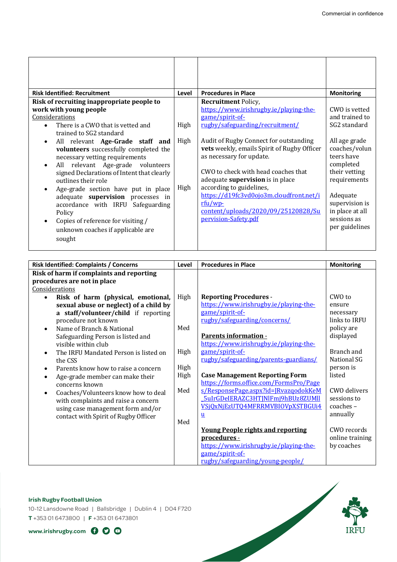| <b>Risk Identified: Recruitment</b>                                                                                                                                                                                                                                                                                                                                                                                                                                                       | Level        | <b>Procedures in Place</b>                                                                                                                                                                                                                                                                                                                       | <b>Monitoring</b>                                                                                                                                                            |
|-------------------------------------------------------------------------------------------------------------------------------------------------------------------------------------------------------------------------------------------------------------------------------------------------------------------------------------------------------------------------------------------------------------------------------------------------------------------------------------------|--------------|--------------------------------------------------------------------------------------------------------------------------------------------------------------------------------------------------------------------------------------------------------------------------------------------------------------------------------------------------|------------------------------------------------------------------------------------------------------------------------------------------------------------------------------|
| Risk of recruiting inappropriate people to                                                                                                                                                                                                                                                                                                                                                                                                                                                |              | <b>Recruitment Policy,</b>                                                                                                                                                                                                                                                                                                                       |                                                                                                                                                                              |
| work with young people                                                                                                                                                                                                                                                                                                                                                                                                                                                                    |              | https://www.irishrugby.ie/playing-the-                                                                                                                                                                                                                                                                                                           | CWO is vetted                                                                                                                                                                |
| Considerations                                                                                                                                                                                                                                                                                                                                                                                                                                                                            |              | game/spirit-of-                                                                                                                                                                                                                                                                                                                                  | and trained to                                                                                                                                                               |
| There is a CWO that is vetted and<br>$\bullet$<br>trained to SG2 standard                                                                                                                                                                                                                                                                                                                                                                                                                 | High         | rugby/safeguarding/recruitment/                                                                                                                                                                                                                                                                                                                  | SG2 standard                                                                                                                                                                 |
| All relevant Age-Grade staff and<br>$\bullet$<br>volunteers successfully completed the<br>necessary vetting requirements<br>All relevant Age-grade volunteers<br>$\bullet$<br>signed Declarations of Intent that clearly<br>outlines their role<br>Age-grade section have put in place<br>$\bullet$<br>adequate supervision processes in<br>accordance with IRFU Safeguarding<br>Policy<br>Copies of reference for visiting /<br>$\bullet$<br>unknown coaches if applicable are<br>sought | High<br>High | Audit of Rugby Connect for outstanding<br>vets weekly, emails Spirit of Rugby Officer<br>as necessary for update.<br>CWO to check with head coaches that<br>adequate supervision is in place<br>according to guidelines,<br>https://d19fc3vd0ojo3m.cloudfront.net/i<br>$rfu/wp$ -<br>content/uploads/2020/09/25120828/Su<br>pervision-Safety.pdf | All age grade<br>coaches/volun<br>teers have<br>completed<br>their vetting<br>requirements<br>Adequate<br>supervision is<br>in place at all<br>sessions as<br>per guidelines |

| <b>Risk Identified: Complaints / Concerns</b>      | Level | <b>Procedures in Place</b>               | <b>Monitoring</b>  |
|----------------------------------------------------|-------|------------------------------------------|--------------------|
| Risk of harm if complaints and reporting           |       |                                          |                    |
| procedures are not in place                        |       |                                          |                    |
| Considerations                                     |       |                                          |                    |
| Risk of harm (physical, emotional,<br>$\bullet$    | High  | <b>Reporting Procedures -</b>            | $CWO$ to           |
| sexual abuse or neglect) of a child by             |       | https://www.irishrugby.ie/playing-the-   | ensure             |
| a staff/volunteer/child if reporting               |       | game/spirit-of-                          | necessary          |
| procedure not known                                |       | rugby/safeguarding/concerns/             | links to IRFU      |
| Name of Branch & National<br>$\bullet$             | Med   |                                          | policy are         |
| Safeguarding Person is listed and                  |       | <b>Parents information -</b>             | displayed          |
| visible within club                                |       | https://www.irishrugby.ie/playing-the-   |                    |
| The IRFU Mandated Person is listed on<br>$\bullet$ | High  | game/spirit-of-                          | Branch and         |
| the CSS                                            |       | rugby/safeguarding/parents-guardians/    | <b>National SG</b> |
| Parents know how to raise a concern<br>$\bullet$   | High  |                                          | person is          |
| Age-grade member can make their<br>$\bullet$       | High  | <b>Case Management Reporting Form</b>    | listed             |
| concerns known                                     |       | https://forms.office.com/FormsPro/Page   |                    |
| Coaches/Volunteers know how to deal<br>$\bullet$   | Med   | s/ResponsePage.aspx?id=JRvazgodokKeM     | CWO delivers       |
| with complaints and raise a concern                |       | 5uIrGDeIERAZC3HTJNlFmj9hBUz8ZUMll        | sessions to        |
| using case management form and/or                  |       | VSjQxNjEzUTQ4MFRRMVBIOVpXSTBGUi4         | $coaches -$        |
| contact with Spirit of Rugby Officer               |       | u                                        | annually           |
|                                                    | Med   |                                          |                    |
|                                                    |       | <b>Young People rights and reporting</b> | CWO records        |
|                                                    |       | procedures -                             | online training    |
|                                                    |       | https://www.irishrugby.ie/playing-the-   | by coaches         |
|                                                    |       | game/spirit-of-                          |                    |
|                                                    |       | rugby/safeguarding/young-people/         |                    |

## **Irish Rugby Football Union**

10-12 Lansdowne Road | Ballsbridge | Dublin 4 | D04 F720 **T** +353 01 6473800 | **F** +353 01 6473801

**www.irishrugby.com**